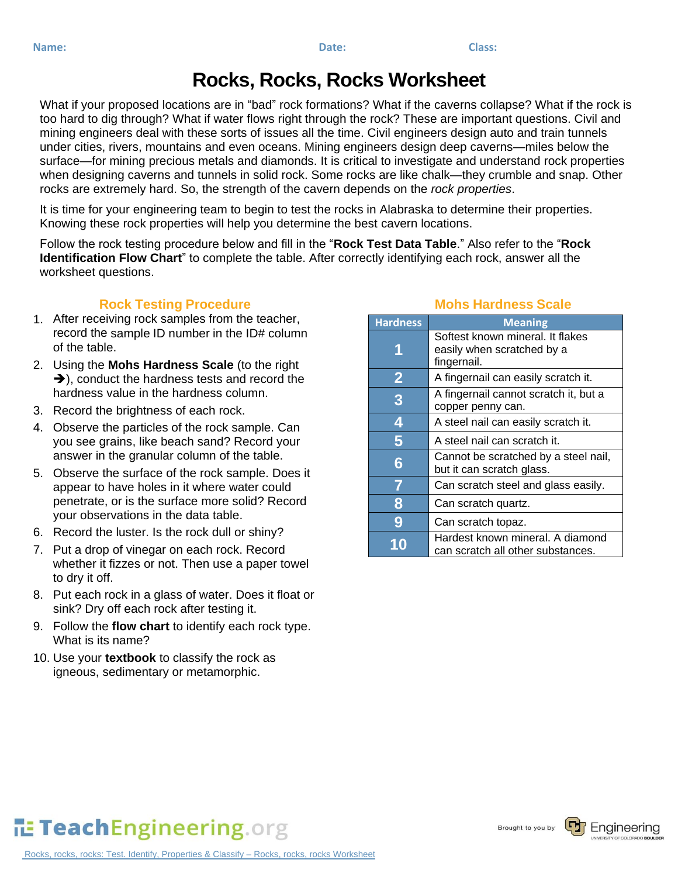## **Rocks, Rocks, Rocks Worksheet**

What if your proposed locations are in "bad" rock formations? What if the caverns collapse? What if the rock is too hard to dig through? What if water flows right through the rock? These are important questions. Civil and mining engineers deal with these sorts of issues all the time. Civil engineers design auto and train tunnels under cities, rivers, mountains and even oceans. Mining engineers design deep caverns—miles below the surface—for mining precious metals and diamonds. It is critical to investigate and understand rock properties when designing caverns and tunnels in solid rock. Some rocks are like chalk—they crumble and snap. Other rocks are extremely hard. So, the strength of the cavern depends on the *rock properties*.

It is time for your engineering team to begin to test the rocks in Alabraska to determine their properties. Knowing these rock properties will help you determine the best cavern locations.

Follow the rock testing procedure below and fill in the "**Rock Test Data Table**." Also refer to the "**Rock Identification Flow Chart**" to complete the table. After correctly identifying each rock, answer all the worksheet questions.

## **Rock Testing Procedure**

- 1. After receiving rock samples from the teacher, record the sample ID number in the ID# column of the table.
- 2. Using the **Mohs Hardness Scale** (to the right  $\rightarrow$ ), conduct the hardness tests and record the hardness value in the hardness column.
- 3. Record the brightness of each rock.
- 4. Observe the particles of the rock sample. Can you see grains, like beach sand? Record your answer in the granular column of the table.
- 5. Observe the surface of the rock sample. Does it appear to have holes in it where water could penetrate, or is the surface more solid? Record your observations in the data table.
- 6. Record the luster. Is the rock dull or shiny?
- 7. Put a drop of vinegar on each rock. Record whether it fizzes or not. Then use a paper towel to dry it off.
- 8. Put each rock in a glass of water. Does it float or sink? Dry off each rock after testing it.
- 9. Follow the **flow chart** to identify each rock type. What is its name?
- 10. Use your **textbook** to classify the rock as igneous, sedimentary or metamorphic.

## **Mohs Hardness Scale**

| <b>Hardness</b>         | <b>Meaning</b>                                                                |
|-------------------------|-------------------------------------------------------------------------------|
|                         | Softest known mineral. It flakes<br>easily when scratched by a<br>fingernail. |
| $\overline{\mathbf{2}}$ | A fingernail can easily scratch it.                                           |
| 3                       | A fingernail cannot scratch it, but a<br>copper penny can.                    |
| 4                       | A steel nail can easily scratch it.                                           |
| 5                       | A steel nail can scratch it.                                                  |
| 6                       | Cannot be scratched by a steel nail,<br>but it can scratch glass.             |
| 7                       | Can scratch steel and glass easily.                                           |
| 8                       | Can scratch quartz.                                                           |
| 9                       | Can scratch topaz.                                                            |
|                         | Hardest known mineral. A diamond<br>can scratch all other substances.         |

## TeachEngineering.org